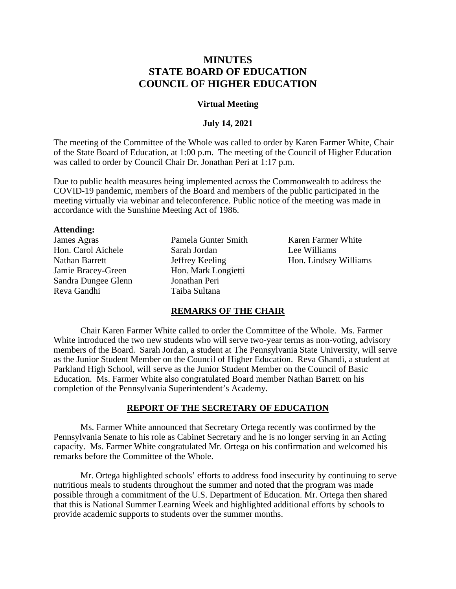# **MINUTES STATE BOARD OF EDUCATION COUNCIL OF HIGHER EDUCATION**

## **Virtual Meeting**

### **July 14, 2021**

The meeting of the Committee of the Whole was called to order by Karen Farmer White, Chair of the State Board of Education, at 1:00 p.m. The meeting of the Council of Higher Education was called to order by Council Chair Dr. Jonathan Peri at 1:17 p.m.

Due to public health measures being implemented across the Commonwealth to address the COVID-19 pandemic, members of the Board and members of the public participated in the meeting virtually via webinar and teleconference. Public notice of the meeting was made in accordance with the Sunshine Meeting Act of 1986.

#### **Attending:**

James Agras Hon. Carol Aichele Nathan Barrett Jamie Bracey-Green Sandra Dungee Glenn Reva Gandhi

Pamela Gunter Smith Sarah Jordan Jeffrey Keeling Hon. Mark Longietti Jonathan Peri Taiba Sultana

Karen Farmer White Lee Williams Hon. Lindsey Williams

# **REMARKS OF THE CHAIR**

Chair Karen Farmer White called to order the Committee of the Whole. Ms. Farmer White introduced the two new students who will serve two-year terms as non-voting, advisory members of the Board. Sarah Jordan, a student at The Pennsylvania State University, will serve as the Junior Student Member on the Council of Higher Education. Reva Ghandi, a student at Parkland High School, will serve as the Junior Student Member on the Council of Basic Education. Ms. Farmer White also congratulated Board member Nathan Barrett on his completion of the Pennsylvania Superintendent's Academy.

#### **REPORT OF THE SECRETARY OF EDUCATION**

Ms. Farmer White announced that Secretary Ortega recently was confirmed by the Pennsylvania Senate to his role as Cabinet Secretary and he is no longer serving in an Acting capacity. Ms. Farmer White congratulated Mr. Ortega on his confirmation and welcomed his remarks before the Committee of the Whole.

Mr. Ortega highlighted schools' efforts to address food insecurity by continuing to serve nutritious meals to students throughout the summer and noted that the program was made possible through a commitment of the U.S. Department of Education. Mr. Ortega then shared that this is National Summer Learning Week and highlighted additional efforts by schools to provide academic supports to students over the summer months.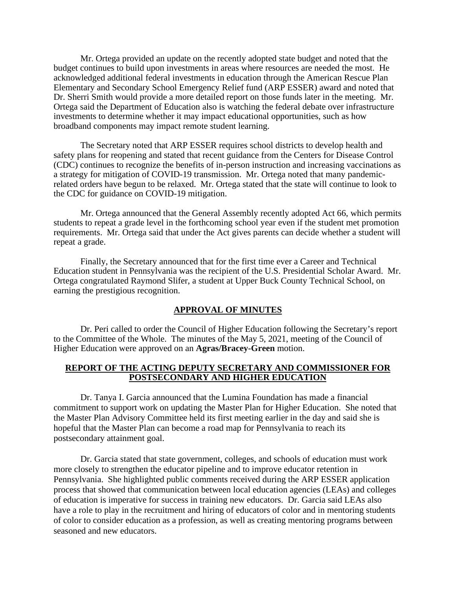Mr. Ortega provided an update on the recently adopted state budget and noted that the budget continues to build upon investments in areas where resources are needed the most. He acknowledged additional federal investments in education through the American Rescue Plan Elementary and Secondary School Emergency Relief fund (ARP ESSER) award and noted that Dr. Sherri Smith would provide a more detailed report on those funds later in the meeting. Mr. Ortega said the Department of Education also is watching the federal debate over infrastructure investments to determine whether it may impact educational opportunities, such as how broadband components may impact remote student learning.

The Secretary noted that ARP ESSER requires school districts to develop health and safety plans for reopening and stated that recent guidance from the Centers for Disease Control (CDC) continues to recognize the benefits of in-person instruction and increasing vaccinations as a strategy for mitigation of COVID-19 transmission. Mr. Ortega noted that many pandemicrelated orders have begun to be relaxed. Mr. Ortega stated that the state will continue to look to the CDC for guidance on COVID-19 mitigation.

Mr. Ortega announced that the General Assembly recently adopted Act 66, which permits students to repeat a grade level in the forthcoming school year even if the student met promotion requirements. Mr. Ortega said that under the Act gives parents can decide whether a student will repeat a grade.

Finally, the Secretary announced that for the first time ever a Career and Technical Education student in Pennsylvania was the recipient of the U.S. Presidential Scholar Award. Mr. Ortega congratulated Raymond Slifer, a student at Upper Buck County Technical School, on earning the prestigious recognition.

#### **APPROVAL OF MINUTES**

Dr. Peri called to order the Council of Higher Education following the Secretary's report to the Committee of the Whole. The minutes of the May 5, 2021, meeting of the Council of Higher Education were approved on an **Agras/Bracey-Green** motion.

# **REPORT OF THE ACTING DEPUTY SECRETARY AND COMMISSIONER FOR POSTSECONDARY AND HIGHER EDUCATION**

Dr. Tanya I. Garcia announced that the Lumina Foundation has made a financial commitment to support work on updating the Master Plan for Higher Education. She noted that the Master Plan Advisory Committee held its first meeting earlier in the day and said she is hopeful that the Master Plan can become a road map for Pennsylvania to reach its postsecondary attainment goal.

Dr. Garcia stated that state government, colleges, and schools of education must work more closely to strengthen the educator pipeline and to improve educator retention in Pennsylvania. She highlighted public comments received during the ARP ESSER application process that showed that communication between local education agencies (LEAs) and colleges of education is imperative for success in training new educators. Dr. Garcia said LEAs also have a role to play in the recruitment and hiring of educators of color and in mentoring students of color to consider education as a profession, as well as creating mentoring programs between seasoned and new educators.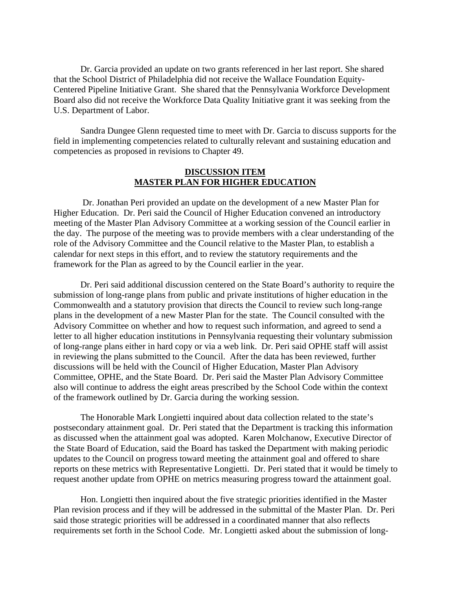Dr. Garcia provided an update on two grants referenced in her last report. She shared that the School District of Philadelphia did not receive the Wallace Foundation Equity-Centered Pipeline Initiative Grant. She shared that the Pennsylvania Workforce Development Board also did not receive the Workforce Data Quality Initiative grant it was seeking from the U.S. Department of Labor.

Sandra Dungee Glenn requested time to meet with Dr. Garcia to discuss supports for the field in implementing competencies related to culturally relevant and sustaining education and competencies as proposed in revisions to Chapter 49.

# **DISCUSSION ITEM MASTER PLAN FOR HIGHER EDUCATION**

Dr. Jonathan Peri provided an update on the development of a new Master Plan for Higher Education. Dr. Peri said the Council of Higher Education convened an introductory meeting of the Master Plan Advisory Committee at a working session of the Council earlier in the day. The purpose of the meeting was to provide members with a clear understanding of the role of the Advisory Committee and the Council relative to the Master Plan, to establish a calendar for next steps in this effort, and to review the statutory requirements and the framework for the Plan as agreed to by the Council earlier in the year.

Dr. Peri said additional discussion centered on the State Board's authority to require the submission of long-range plans from public and private institutions of higher education in the Commonwealth and a statutory provision that directs the Council to review such long-range plans in the development of a new Master Plan for the state. The Council consulted with the Advisory Committee on whether and how to request such information, and agreed to send a letter to all higher education institutions in Pennsylvania requesting their voluntary submission of long-range plans either in hard copy or via a web link. Dr. Peri said OPHE staff will assist in reviewing the plans submitted to the Council. After the data has been reviewed, further discussions will be held with the Council of Higher Education, Master Plan Advisory Committee, OPHE, and the State Board. Dr. Peri said the Master Plan Advisory Committee also will continue to address the eight areas prescribed by the School Code within the context of the framework outlined by Dr. Garcia during the working session.

The Honorable Mark Longietti inquired about data collection related to the state's postsecondary attainment goal. Dr. Peri stated that the Department is tracking this information as discussed when the attainment goal was adopted. Karen Molchanow, Executive Director of the State Board of Education, said the Board has tasked the Department with making periodic updates to the Council on progress toward meeting the attainment goal and offered to share reports on these metrics with Representative Longietti. Dr. Peri stated that it would be timely to request another update from OPHE on metrics measuring progress toward the attainment goal.

Hon. Longietti then inquired about the five strategic priorities identified in the Master Plan revision process and if they will be addressed in the submittal of the Master Plan. Dr. Peri said those strategic priorities will be addressed in a coordinated manner that also reflects requirements set forth in the School Code. Mr. Longietti asked about the submission of long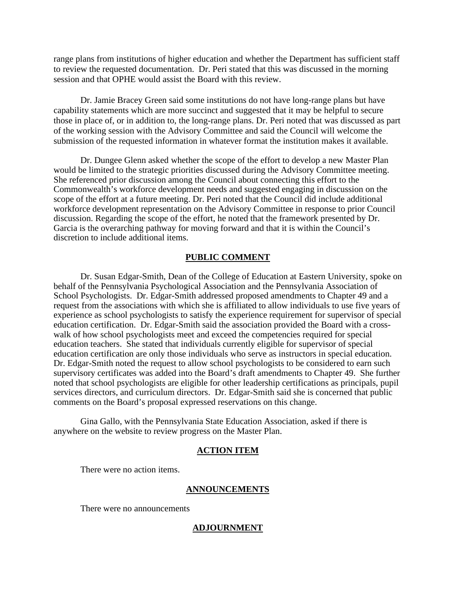range plans from institutions of higher education and whether the Department has sufficient staff to review the requested documentation. Dr. Peri stated that this was discussed in the morning session and that OPHE would assist the Board with this review.

Dr. Jamie Bracey Green said some institutions do not have long-range plans but have capability statements which are more succinct and suggested that it may be helpful to secure those in place of, or in addition to, the long-range plans. Dr. Peri noted that was discussed as part of the working session with the Advisory Committee and said the Council will welcome the submission of the requested information in whatever format the institution makes it available.

Dr. Dungee Glenn asked whether the scope of the effort to develop a new Master Plan would be limited to the strategic priorities discussed during the Advisory Committee meeting. She referenced prior discussion among the Council about connecting this effort to the Commonwealth's workforce development needs and suggested engaging in discussion on the scope of the effort at a future meeting. Dr. Peri noted that the Council did include additional workforce development representation on the Advisory Committee in response to prior Council discussion. Regarding the scope of the effort, he noted that the framework presented by Dr. Garcia is the overarching pathway for moving forward and that it is within the Council's discretion to include additional items.

# **PUBLIC COMMENT**

Dr. Susan Edgar-Smith, Dean of the College of Education at Eastern University, spoke on behalf of the Pennsylvania Psychological Association and the Pennsylvania Association of School Psychologists. Dr. Edgar-Smith addressed proposed amendments to Chapter 49 and a request from the associations with which she is affiliated to allow individuals to use five years of experience as school psychologists to satisfy the experience requirement for supervisor of special education certification. Dr. Edgar-Smith said the association provided the Board with a crosswalk of how school psychologists meet and exceed the competencies required for special education teachers. She stated that individuals currently eligible for supervisor of special education certification are only those individuals who serve as instructors in special education. Dr. Edgar-Smith noted the request to allow school psychologists to be considered to earn such supervisory certificates was added into the Board's draft amendments to Chapter 49. She further noted that school psychologists are eligible for other leadership certifications as principals, pupil services directors, and curriculum directors. Dr. Edgar-Smith said she is concerned that public comments on the Board's proposal expressed reservations on this change.

Gina Gallo, with the Pennsylvania State Education Association, asked if there is anywhere on the website to review progress on the Master Plan.

#### **ACTION ITEM**

There were no action items.

#### **ANNOUNCEMENTS**

There were no announcements

#### **ADJOURNMENT**